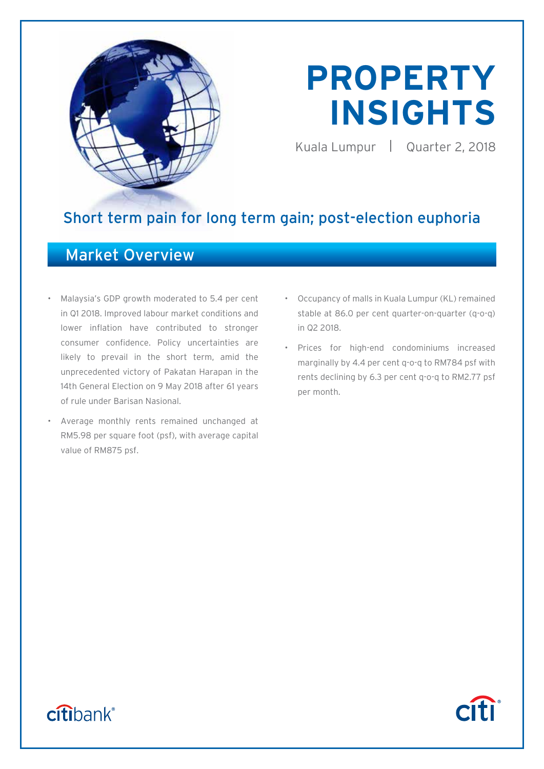

# **PROPERTY INSIGHTS**

Kuala Lumpur | Quarter 2, 2018

**Citi** 

## Short term pain for long term gain; post-election euphoria

## Market Overview

- Malaysia's GDP growth moderated to 5.4 per cent in Q1 2018. Improved labour market conditions and lower inflation have contributed to stronger consumer confidence. Policy uncertainties are likely to prevail in the short term, amid the unprecedented victory of Pakatan Harapan in the 14th General Election on 9 May 2018 after 61 years of rule under Barisan Nasional.
- Average monthly rents remained unchanged at RM5.98 per square foot (psf), with average capital value of RM875 psf.
- Occupancy of malls in Kuala Lumpur (KL) remained stable at 86.0 per cent quarter-on-quarter (q-o-q) in Q2 2018.
- Prices for high-end condominiums increased marginally by 4.4 per cent q-o-q to RM784 psf with rents declining by 6.3 per cent q-o-q to RM2.77 psf per month.

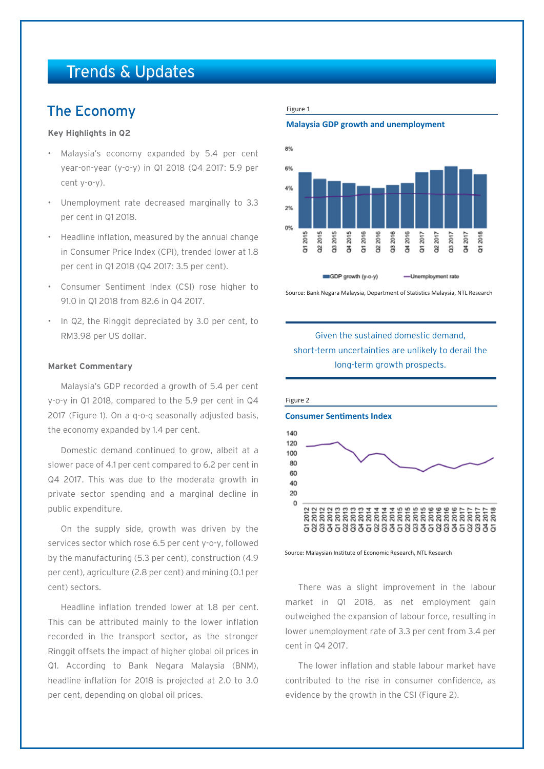## Trends & Updates

## The Economy

#### **Key Highlights in Q2**

- Malaysia's economy expanded by 5.4 per cent year-on-year (y-o-y) in Q1 2018 (Q4 2017: 5.9 per cent y-o-y).
- Unemployment rate decreased marginally to 3.3 per cent in Q1 2018.
- Headline inflation, measured by the annual change in Consumer Price Index (CPI), trended lower at 1.8 per cent in Q1 2018 (Q4 2017: 3.5 per cent).
- Consumer Sentiment Index (CSI) rose higher to 91.0 in Q1 2018 from 82.6 in Q4 2017.
- In Q2, the Ringgit depreciated by 3.0 per cent, to RM3.98 per US dollar.

#### **Market Commentary**

Malaysia's GDP recorded a growth of 5.4 per cent y-o-y in Q1 2018, compared to the 5.9 per cent in Q4 2017 (Figure 1). On a q-o-q seasonally adjusted basis, the economy expanded by 1.4 per cent.

Domestic demand continued to grow, albeit at a slower pace of 4.1 per cent compared to 6.2 per cent in Q4 2017. This was due to the moderate growth in private sector spending and a marginal decline in public expenditure.

On the supply side, growth was driven by the services sector which rose 6.5 per cent y-o-y, followed by the manufacturing (5.3 per cent), construction (4.9 per cent), agriculture (2.8 per cent) and mining (0.1 per cent) sectors.

Headline inflation trended lower at 1.8 per cent. This can be attributed mainly to the lower inflation recorded in the transport sector, as the stronger Ringgit offsets the impact of higher global oil prices in Q1. According to Bank Negara Malaysia (BNM), headline inflation for 2018 is projected at 2.0 to 3.0 per cent, depending on global oil prices.

#### Figure 1

**Malaysia GDP growth and unemployment**



Source: Bank Negara Malaysia, Department of Statistics Malaysia, NTL Research

#### Given the sustained domestic demand, short-term uncertainties are unlikely to derail the long-term growth prospects.



Source: Malaysian Institute of Economic Research, NTL Research

There was a slight improvement in the labour market in Q1 2018, as net employment gain outweighed the expansion of labour force, resulting in lower unemployment rate of 3.3 per cent from 3.4 per cent in Q4 2017.

The lower inflation and stable labour market have contributed to the rise in consumer confidence, as evidence by the growth in the CSI (Figure 2).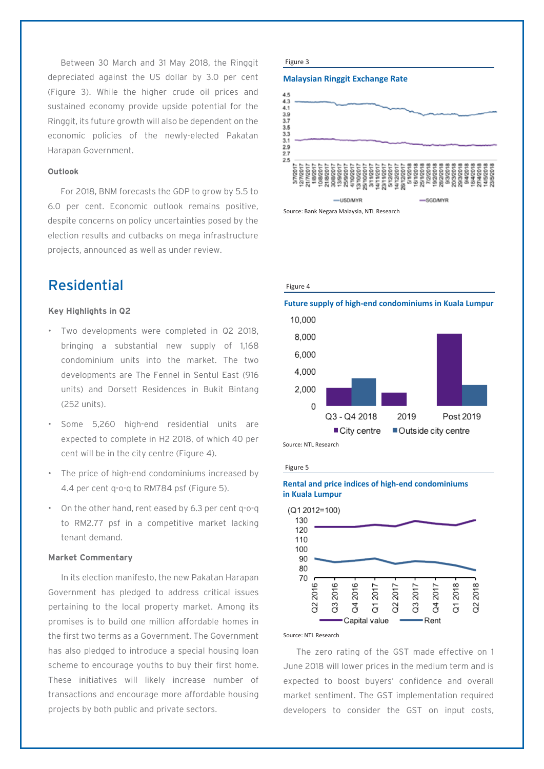Between 30 March and 31 May 2018, the Ringgit depreciated against the US dollar by 3.0 per cent (Figure 3). While the higher crude oil prices and sustained economy provide upside potential for the Ringgit, its future growth will also be dependent on the economic policies of the newly-elected Pakatan Harapan Government.

#### **Outlook**

For 2018, BNM forecasts the GDP to grow by 5.5 to 6.0 per cent. Economic outlook remains positive, despite concerns on policy uncertainties posed by the election results and cutbacks on mega infrastructure projects, announced as well as under review.

## Residential Figure 4

#### **Key Highlights in Q2**

- Two developments were completed in Q2 2018, bringing a substantial new supply of 1,168 condominium units into the market. The two developments are The Fennel in Sentul East (916 units) and Dorsett Residences in Bukit Bintang (252 units).
- Some 5,260 high-end residential units are expected to complete in H2 2018, of which 40 per cent will be in the city centre (Figure 4).
- The price of high-end condominiums increased by 4.4 per cent q-o-q to RM784 psf (Figure 5).
- On the other hand, rent eased by 6.3 per cent q-o-q to RM2.77 psf in a competitive market lacking tenant demand.

#### **Market Commentary**

In its election manifesto, the new Pakatan Harapan Government has pledged to address critical issues pertaining to the local property market. Among its promises is to build one million affordable homes in the first two terms as a Government. The Government has also pledged to introduce a special housing loan scheme to encourage youths to buy their first home. These initiatives will likely increase number of transactions and encourage more affordable housing projects by both public and private sectors.

#### Figure 3

#### **Malaysian Ringgit Exchange Rate**



Source: Bank Negara Malaysia, NTL Research





#### Figure 5

#### **Rental and price indices of high-end condominiums in Kuala Lumpur**



#### Source: NTL Research

The zero rating of the GST made effective on 1 June 2018 will lower prices in the medium term and is expected to boost buyers' confidence and overall market sentiment. The GST implementation required developers to consider the GST on input costs,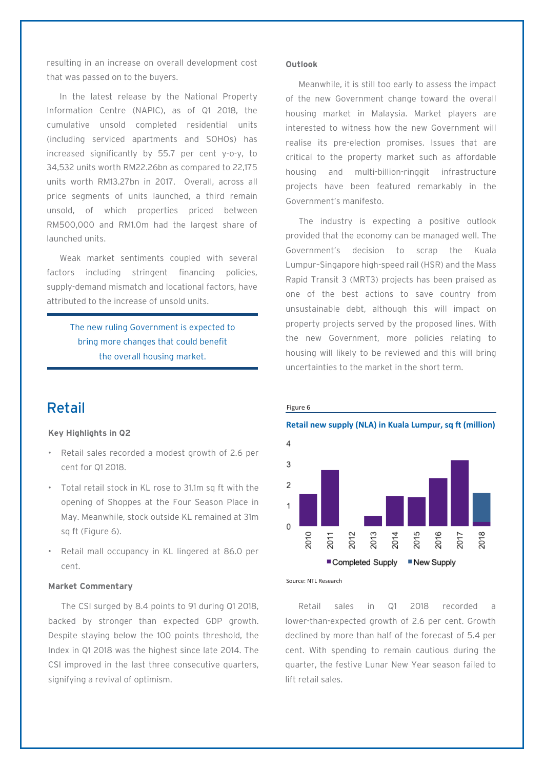resulting in an increase on overall development cost that was passed on to the buyers.

In the latest release by the National Property Information Centre (NAPIC), as of Q1 2018, the cumulative unsold completed residential units (including serviced apartments and SOHOs) has increased significantly by 55.7 per cent y-o-y, to 34,532 units worth RM22.26bn as compared to 22,175 units worth RM13.27bn in 2017. Overall, across all price segments of units launched, a third remain unsold, of which properties priced between RM500,000 and RM1.0m had the largest share of launched units.

Weak market sentiments coupled with several factors including stringent financing policies, supply-demand mismatch and locational factors, have attributed to the increase of unsold units.

> The new ruling Government is expected to bring more changes that could benefit the overall housing market.

## Retail

#### **Key Highlights in Q2**

- Retail sales recorded a modest growth of 2.6 per cent for Q1 2018.
- Total retail stock in KL rose to 31.1m sq ft with the opening of Shoppes at the Four Season Place in May. Meanwhile, stock outside KL remained at 31m sq ft (Figure 6).
- Retail mall occupancy in KL lingered at 86.0 per cent.

#### **Market Commentary**

The CSI surged by 8.4 points to 91 during Q1 2018, backed by stronger than expected GDP growth. Despite staying below the 100 points threshold, the Index in Q1 2018 was the highest since late 2014. The CSI improved in the last three consecutive quarters, signifying a revival of optimism.

#### **Outlook**

Meanwhile, it is still too early to assess the impact of the new Government change toward the overall housing market in Malaysia. Market players are interested to witness how the new Government will realise its pre-election promises. Issues that are critical to the property market such as affordable housing and multi-billion-ringgit infrastructure projects have been featured remarkably in the Government's manifesto.

The industry is expecting a positive outlook provided that the economy can be managed well. The Government's decision to scrap the Kuala Lumpur–Singapore high-speed rail (HSR) and the Mass Rapid Transit 3 (MRT3) projects has been praised as one of the best actions to save country from unsustainable debt, although this will impact on property projects served by the proposed lines. With the new Government, more policies relating to housing will likely to be reviewed and this will bring uncertainties to the market in the short term.



Source: NTL Research

Figure 6

Retail sales in Q1 2018 recorded a lower-than-expected growth of 2.6 per cent. Growth declined by more than half of the forecast of 5.4 per cent. With spending to remain cautious during the quarter, the festive Lunar New Year season failed to lift retail sales.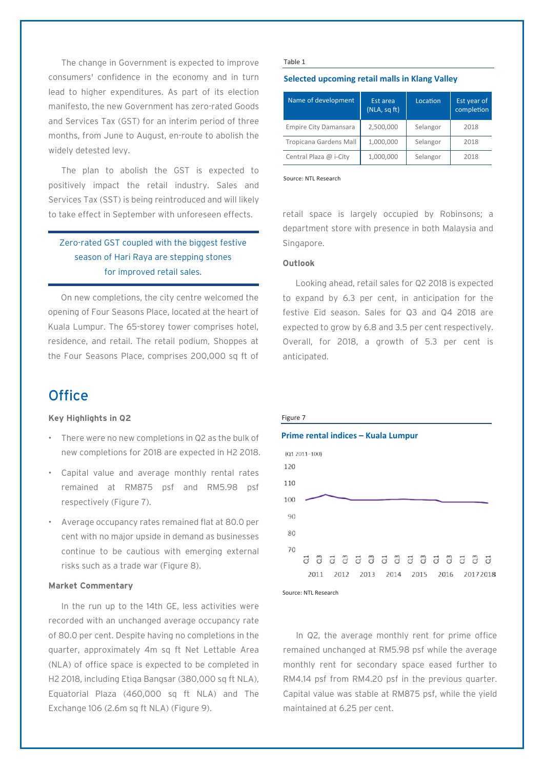The change in Government is expected to improve consumers' confidence in the economy and in turn lead to higher expenditures. As part of its election manifesto, the new Government has zero-rated Goods and Services Tax (GST) for an interim period of three months, from June to August, en-route to abolish the widely detested levy.

The plan to abolish the GST is expected to positively impact the retail industry. Sales and Services Tax (SST) is being reintroduced and will likely to take effect in September with unforeseen effects.

### Zero-rated GST coupled with the biggest festive season of Hari Raya are stepping stones for improved retail sales.

On new completions, the city centre welcomed the opening of Four Seasons Place, located at the heart of Kuala Lumpur. The 65-storey tower comprises hotel, residence, and retail. The retail podium, Shoppes at the Four Seasons Place, comprises 200,000 sq ft of

## **Office**

#### **Key Highlights in Q2**

- There were no new completions in Q2 as the bulk of new completions for 2018 are expected in H2 2018.
- Capital value and average monthly rental rates remained at RM875 psf and RM5.98 psf respectively (Figure 7).
- Average occupancy rates remained flat at 80.0 per cent with no major upside in demand as businesses continue to be cautious with emerging external risks such as a trade war (Figure 8).

#### **Market Commentary**

In the run up to the 14th GE, less activities were recorded with an unchanged average occupancy rate of 80.0 per cent. Despite having no completions in the quarter, approximately 4m sq ft Net Lettable Area (NLA) of office space is expected to be completed in H2 2018, including Etiqa Bangsar (380,000 sq ft NLA), Equatorial Plaza (460,000 sq ft NLA) and The Exchange 106 (2.6m sq ft NLA) (Figure 9).

#### Table 1

#### **Selected upcoming retail malls in Klang Valley**

| Name of development           | Est area<br>(NLA, sqft) | Location | Est year of<br>completion |
|-------------------------------|-------------------------|----------|---------------------------|
| <b>Empire City Damansara</b>  | 2,500,000               | Selangor | 2018                      |
| <b>Tropicana Gardens Mall</b> | 1,000,000               | Selangor | 2018                      |
| Central Plaza @ i-City        | 1,000,000               | Selangor | 2018                      |

Source: NTL Research

retail space is largely occupied by Robinsons; a department store with presence in both Malaysia and Singapore.

#### **Outlook**

Looking ahead, retail sales for Q2 2018 is expected to expand by 6.3 per cent, in anticipation for the festive Eid season. Sales for Q3 and Q4 2018 are expected to grow by 6.8 and 3.5 per cent respectively. Overall, for 2018, a growth of 5.3 per cent is anticipated.





In Q2, the average monthly rent for prime office remained unchanged at RM5.98 psf while the average monthly rent for secondary space eased further to RM4.14 psf from RM4.20 psf in the previous quarter. Capital value was stable at RM875 psf, while the yield maintained at 6.25 per cent.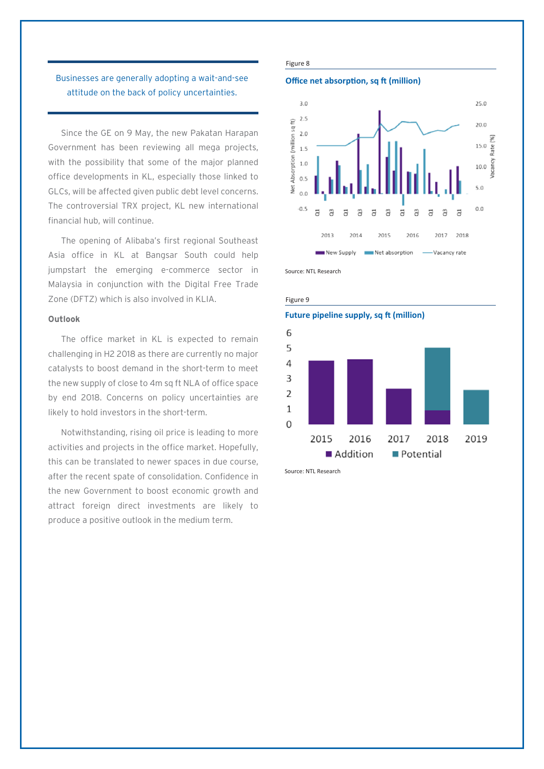#### Businesses are generally adopting a wait-and-see attitude on the back of policy uncertainties.

Since the GE on 9 May, the new Pakatan Harapan Government has been reviewing all mega projects, with the possibility that some of the major planned office developments in KL, especially those linked to GLCs, will be affected given public debt level concerns. The controversial TRX project, KL new international financial hub, will continue.

The opening of Alibaba's first regional Southeast Asia office in KL at Bangsar South could help jumpstart the emerging e-commerce sector in Malaysia in conjunction with the Digital Free Trade Zone (DFTZ) which is also involved in KLIA.

#### **Outlook**

The office market in KL is expected to remain challenging in H2 2018 as there are currently no major catalysts to boost demand in the short-term to meet the new supply of close to 4m sq ft NLA of office space by end 2018. Concerns on policy uncertainties are likely to hold investors in the short-term.

Notwithstanding, rising oil price is leading to more activities and projects in the office market. Hopefully, this can be translated to newer spaces in due course, after the recent spate of consolidation. Confidence in the new Government to boost economic growth and attract foreign direct investments are likely to produce a positive outlook in the medium term.

#### Figure 8

#### **Office net absorption, sq ft (million)**





Figure 9



Source: NTL Research